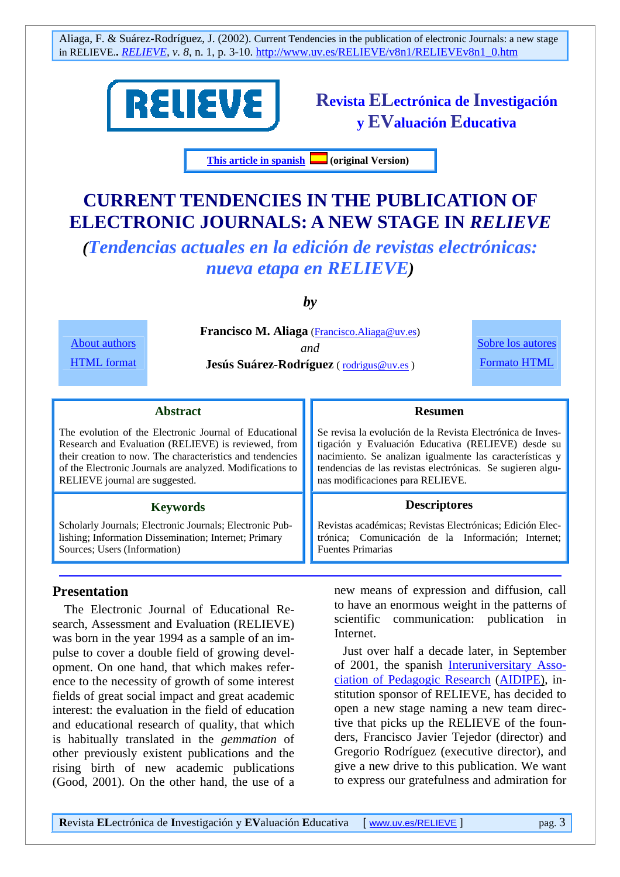

**Revista ELectrónica de Investigación y EValuación Educativa** 

**This article in spanish (original Version)** 

# **CURRENT TENDENCIES IN THE PUBLICATION OF ELECTRONIC JOURNALS: A NEW STAGE IN** *RELIEVE*

*(Tendencias actuales en la edición de revistas electrónicas: nueva etapa en RELIEVE)* 

*by* 

**Francisco M. Aliaga** (Francisco.Aliaga@uv.es) *and*  **Jesús Suárez-Rodríguez** ( rodrigus@uv.es )

Sobre los autores Formato HTML

#### **Abstract**

The evolution of the Electronic Journal of Educational Research and Evaluation (RELIEVE) is reviewed, from their creation to now. The characteristics and tendencies of the Electronic Journals are analyzed. Modifications to RELIEVE journal are suggested.

#### **Keywords**

Scholarly Journals; Electronic Journals; Electronic Publishing; Information Dissemination; Internet; Primary Sources; Users (Information)

#### **Presentation**

About authors HTML format

 The Electronic Journal of Educational Research, Assessment and Evaluation (RELIEVE) was born in the year 1994 as a sample of an impulse to cover a double field of growing development. On one hand, that which makes reference to the necessity of growth of some interest fields of great social impact and great academic interest: the evaluation in the field of education and educational research of quality, that which is habitually translated in the *gemmation* of other previously existent publications and the rising birth of new academic publications (Good, 2001). On the other hand, the use of a

Se revisa la evolución de la Revista Electrónica de Investigación y Evaluación Educativa (RELIEVE) desde su nacimiento. Se analizan igualmente las características y tendencias de las revistas electrónicas. Se sugieren algunas modificaciones para RELIEVE.

**Resumen**

#### **Descriptores**

Revistas académicas; Revistas Electrónicas; Edición Electrónica; Comunicación de la Información; Internet; Fuentes Primarias

new means of expression and diffusion, call to have an enormous weight in the patterns of scientific communication: publication in Internet.

Just over half a decade later, in September of 2001, the spanish Interuniversitary Association of Pedagogic Research (AIDIPE), institution sponsor of RELIEVE, has decided to open a new stage naming a new team directive that picks up the RELIEVE of the founders, Francisco Javier Tejedor (director) and Gregorio Rodríguez (executive director), and give a new drive to this publication. We want to express our gratefulness and admiration for

**R**evista **EL**ectrónica de **I**nvestigación y **EV**aluación **E**ducativa [ www.uv.es/RELIEVE ] pag. 3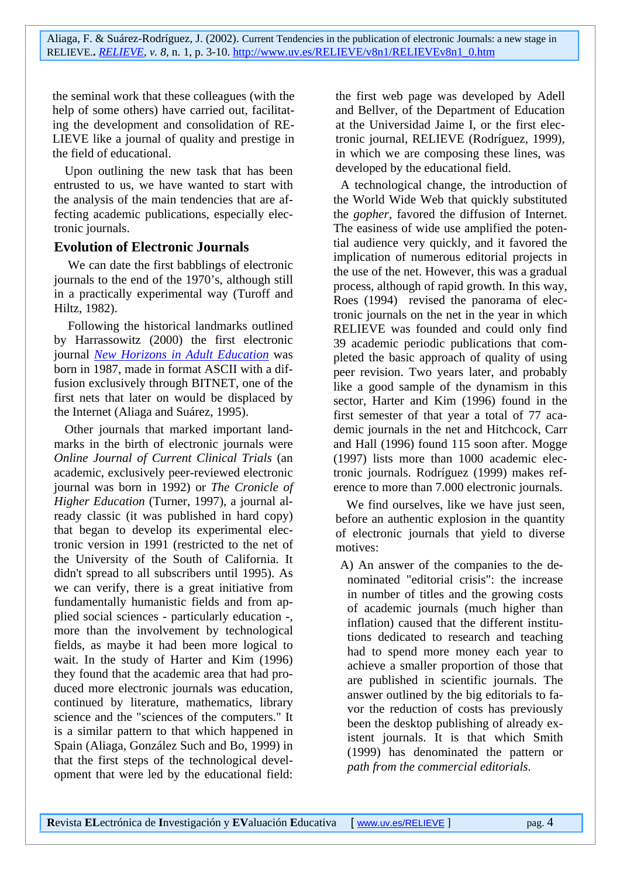the seminal work that these colleagues (with the help of some others) have carried out, facilitating the development and consolidation of RE-LIEVE like a journal of quality and prestige in the field of educational.

Upon outlining the new task that has been entrusted to us, we have wanted to start with the analysis of the main tendencies that are affecting academic publications, especially electronic journals.

#### **Evolution of Electronic Journals**

 We can date the first babblings of electronic journals to the end of the 1970's, although still in a practically experimental way (Turoff and Hiltz, 1982).

 Following the historical landmarks outlined by Harrassowitz (2000) the first electronic journal *New Horizons in Adult Education* was born in 1987, made in format ASCII with a diffusion exclusively through BITNET, one of the first nets that later on would be displaced by the Internet (Aliaga and Suárez, 1995).

Other journals that marked important landmarks in the birth of electronic journals were *Online Journal of Current Clinical Trials* (an academic, exclusively peer-reviewed electronic journal was born in 1992) or *The Cronicle of Higher Education* (Turner, 1997), a journal already classic (it was published in hard copy) that began to develop its experimental electronic version in 1991 (restricted to the net of the University of the South of California. It didn't spread to all subscribers until 1995). As we can verify, there is a great initiative from fundamentally humanistic fields and from applied social sciences - particularly education -, more than the involvement by technological fields, as maybe it had been more logical to wait. In the study of Harter and Kim (1996) they found that the academic area that had produced more electronic journals was education, continued by literature, mathematics, library science and the "sciences of the computers." It is a similar pattern to that which happened in Spain (Aliaga, González Such and Bo, 1999) in that the first steps of the technological development that were led by the educational field:

the first web page was developed by Adell and Bellver, of the Department of Education at the Universidad Jaime I, or the first electronic journal, RELIEVE (Rodríguez, 1999), in which we are composing these lines, was developed by the educational field.

A technological change, the introduction of the World Wide Web that quickly substituted the *gopher*, favored the diffusion of Internet. The easiness of wide use amplified the potential audience very quickly, and it favored the implication of numerous editorial projects in the use of the net. However, this was a gradual process, although of rapid growth. In this way, Roes (1994) revised the panorama of electronic journals on the net in the year in which RELIEVE was founded and could only find 39 academic periodic publications that completed the basic approach of quality of using peer revision. Two years later, and probably like a good sample of the dynamism in this sector, Harter and Kim (1996) found in the first semester of that year a total of 77 academic journals in the net and Hitchcock, Carr and Hall (1996) found 115 soon after. Mogge (1997) lists more than 1000 academic electronic journals. Rodríguez (1999) makes reference to more than 7.000 electronic journals.

We find ourselves, like we have just seen, before an authentic explosion in the quantity of electronic journals that yield to diverse motives:

A) An answer of the companies to the denominated "editorial crisis": the increase in number of titles and the growing costs of academic journals (much higher than inflation) caused that the different institutions dedicated to research and teaching had to spend more money each year to achieve a smaller proportion of those that are published in scientific journals. The answer outlined by the big editorials to favor the reduction of costs has previously been the desktop publishing of already existent journals. It is that which Smith (1999) has denominated the pattern or *path from the commercial editorials.*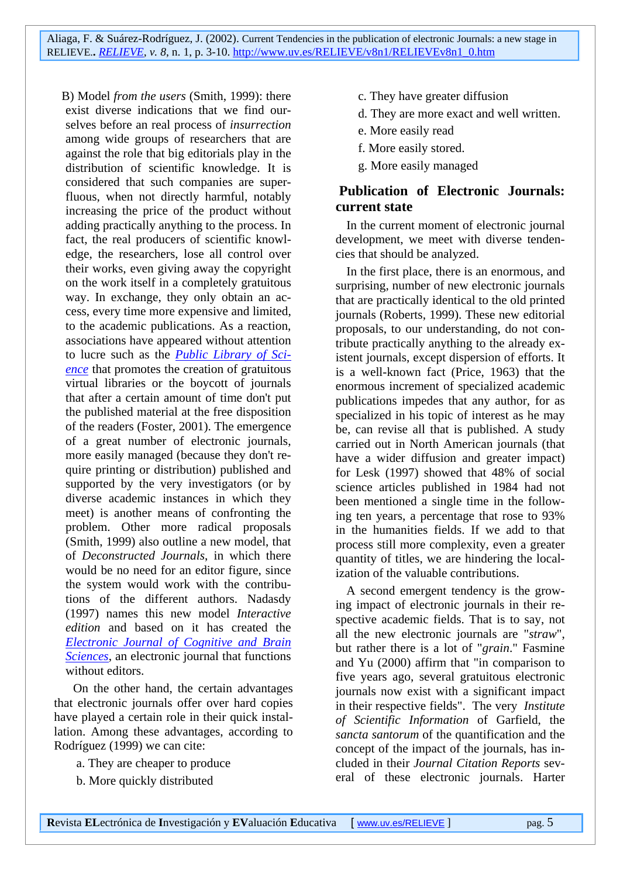B) Model *from the users* (Smith, 1999): there exist diverse indications that we find ourselves before an real process of *insurrection* among wide groups of researchers that are against the role that big editorials play in the distribution of scientific knowledge. It is considered that such companies are superfluous, when not directly harmful, notably increasing the price of the product without adding practically anything to the process. In fact, the real producers of scientific knowledge, the researchers, lose all control over their works, even giving away the copyright on the work itself in a completely gratuitous way. In exchange, they only obtain an access, every time more expensive and limited, to the academic publications. As a reaction, associations have appeared without attention to lucre such as the *Public Library of Science* that promotes the creation of gratuitous virtual libraries or the boycott of journals that after a certain amount of time don't put the published material at the free disposition of the readers (Foster, 2001). The emergence of a great number of electronic journals, more easily managed (because they don't require printing or distribution) published and supported by the very investigators (or by diverse academic instances in which they meet) is another means of confronting the problem. Other more radical proposals (Smith, 1999) also outline a new model, that of *Deconstructed Journals*, in which there would be no need for an editor figure, since the system would work with the contributions of the different authors. Nadasdy (1997) names this new model *Interactive edition* and based on it has created the *Electronic Journal of Cognitive and Brain Sciences*, an electronic journal that functions without editors.

 On the other hand, the certain advantages that electronic journals offer over hard copies have played a certain role in their quick installation. Among these advantages, according to Rodríguez (1999) we can cite:

- a. They are cheaper to produce
- b. More quickly distributed
- c. They have greater diffusion
- d. They are more exact and well written.
- e. More easily read
- f. More easily stored.
- g. More easily managed

### **Publication of Electronic Journals: current state**

In the current moment of electronic journal development, we meet with diverse tendencies that should be analyzed.

In the first place, there is an enormous, and surprising, number of new electronic journals that are practically identical to the old printed journals (Roberts, 1999). These new editorial proposals, to our understanding, do not contribute practically anything to the already existent journals, except dispersion of efforts. It is a well-known fact (Price, 1963) that the enormous increment of specialized academic publications impedes that any author, for as specialized in his topic of interest as he may be, can revise all that is published. A study carried out in North American journals (that have a wider diffusion and greater impact) for Lesk (1997) showed that 48% of social science articles published in 1984 had not been mentioned a single time in the following ten years, a percentage that rose to 93% in the humanities fields. If we add to that process still more complexity, even a greater quantity of titles, we are hindering the localization of the valuable contributions.

A second emergent tendency is the growing impact of electronic journals in their respective academic fields. That is to say, not all the new electronic journals are "*straw*", but rather there is a lot of "*grain*." Fasmine and Yu (2000) affirm that "in comparison to five years ago, several gratuitous electronic journals now exist with a significant impact in their respective fields". The very *Institute of Scientific Information* of Garfield, the *sancta santorum* of the quantification and the concept of the impact of the journals, has included in their *Journal Citation Reports* several of these electronic journals. Harter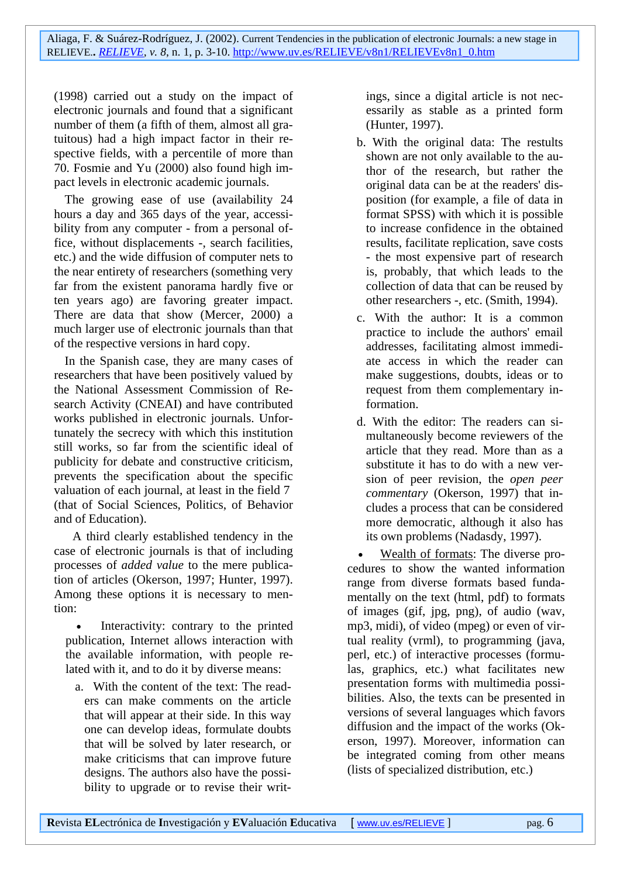(1998) carried out a study on the impact of electronic journals and found that a significant number of them (a fifth of them, almost all gratuitous) had a high impact factor in their respective fields, with a percentile of more than 70. Fosmie and Yu (2000) also found high impact levels in electronic academic journals.

The growing ease of use (availability 24 hours a day and 365 days of the year, accessibility from any computer - from a personal office, without displacements -, search facilities, etc.) and the wide diffusion of computer nets to the near entirety of researchers (something very far from the existent panorama hardly five or ten years ago) are favoring greater impact. There are data that show (Mercer, 2000) a much larger use of electronic journals than that of the respective versions in hard copy.

In the Spanish case, they are many cases of researchers that have been positively valued by the National Assessment Commission of Research Activity (CNEAI) and have contributed works published in electronic journals. Unfortunately the secrecy with which this institution still works, so far from the scientific ideal of publicity for debate and constructive criticism, prevents the specification about the specific valuation of each journal, at least in the field 7 (that of Social Sciences, Politics, of Behavior and of Education).

 A third clearly established tendency in the case of electronic journals is that of including processes of *added value* to the mere publication of articles (Okerson, 1997; Hunter, 1997). Among these options it is necessary to mention:

Interactivity: contrary to the printed publication, Internet allows interaction with the available information, with people related with it, and to do it by diverse means:

a. With the content of the text: The readers can make comments on the article that will appear at their side. In this way one can develop ideas, formulate doubts that will be solved by later research, or make criticisms that can improve future designs. The authors also have the possibility to upgrade or to revise their writings, since a digital article is not necessarily as stable as a printed form (Hunter, 1997).

- b. With the original data: The restults shown are not only available to the author of the research, but rather the original data can be at the readers' disposition (for example, a file of data in format SPSS) with which it is possible to increase confidence in the obtained results, facilitate replication, save costs - the most expensive part of research is, probably, that which leads to the collection of data that can be reused by other researchers -, etc. (Smith, 1994).
- c. With the author: It is a common practice to include the authors' email addresses, facilitating almost immediate access in which the reader can make suggestions, doubts, ideas or to request from them complementary information.
- d. With the editor: The readers can simultaneously become reviewers of the article that they read. More than as a substitute it has to do with a new version of peer revision, the *open peer commentary* (Okerson, 1997) that includes a process that can be considered more democratic, although it also has its own problems (Nadasdy, 1997).

• Wealth of formats: The diverse procedures to show the wanted information range from diverse formats based fundamentally on the text (html, pdf) to formats of images (gif, jpg, png), of audio (wav, mp3, midi), of video (mpeg) or even of virtual reality (vrml), to programming (java, perl, etc.) of interactive processes (formulas, graphics, etc.) what facilitates new presentation forms with multimedia possibilities. Also, the texts can be presented in versions of several languages which favors diffusion and the impact of the works (Okerson, 1997). Moreover, information can be integrated coming from other means (lists of specialized distribution, etc.)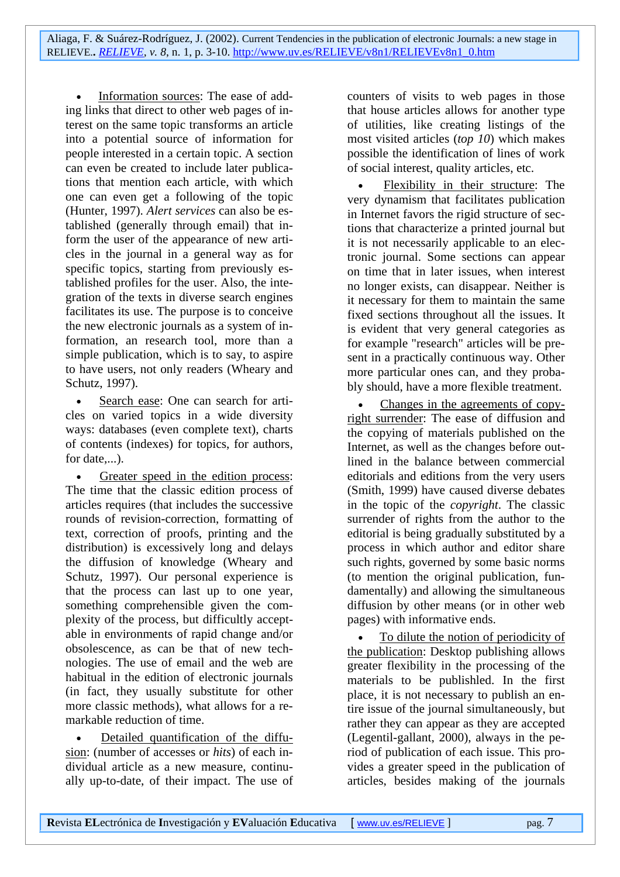Information sources: The ease of adding links that direct to other web pages of interest on the same topic transforms an article into a potential source of information for people interested in a certain topic. A section can even be created to include later publications that mention each article, with which one can even get a following of the topic (Hunter, 1997). *Alert services* can also be established (generally through email) that inform the user of the appearance of new articles in the journal in a general way as for specific topics, starting from previously established profiles for the user. Also, the integration of the texts in diverse search engines facilitates its use. The purpose is to conceive the new electronic journals as a system of information, an research tool, more than a simple publication, which is to say, to aspire to have users, not only readers (Wheary and Schutz, 1997).

Search ease: One can search for articles on varied topics in a wide diversity ways: databases (even complete text), charts of contents (indexes) for topics, for authors, for date,...).

Greater speed in the edition process: The time that the classic edition process of articles requires (that includes the successive rounds of revision-correction, formatting of text, correction of proofs, printing and the distribution) is excessively long and delays the diffusion of knowledge (Wheary and Schutz, 1997). Our personal experience is that the process can last up to one year, something comprehensible given the complexity of the process, but difficultly acceptable in environments of rapid change and/or obsolescence, as can be that of new technologies. The use of email and the web are habitual in the edition of electronic journals (in fact, they usually substitute for other more classic methods), what allows for a remarkable reduction of time.

• Detailed quantification of the diffusion: (number of accesses or *hits*) of each individual article as a new measure, continually up-to-date, of their impact. The use of counters of visits to web pages in those that house articles allows for another type of utilities, like creating listings of the most visited articles (*top 10*) which makes possible the identification of lines of work of social interest, quality articles, etc.

• Flexibility in their structure: The very dynamism that facilitates publication in Internet favors the rigid structure of sections that characterize a printed journal but it is not necessarily applicable to an electronic journal. Some sections can appear on time that in later issues, when interest no longer exists, can disappear. Neither is it necessary for them to maintain the same fixed sections throughout all the issues. It is evident that very general categories as for example "research" articles will be present in a practically continuous way. Other more particular ones can, and they probably should, have a more flexible treatment.

• Changes in the agreements of copyright surrender: The ease of diffusion and the copying of materials published on the Internet, as well as the changes before outlined in the balance between commercial editorials and editions from the very users (Smith, 1999) have caused diverse debates in the topic of the *copyright*. The classic surrender of rights from the author to the editorial is being gradually substituted by a process in which author and editor share such rights, governed by some basic norms (to mention the original publication, fundamentally) and allowing the simultaneous diffusion by other means (or in other web pages) with informative ends.

• To dilute the notion of periodicity of the publication: Desktop publishing allows greater flexibility in the processing of the materials to be publishled. In the first place, it is not necessary to publish an entire issue of the journal simultaneously, but rather they can appear as they are accepted (Legentil-gallant, 2000), always in the period of publication of each issue. This provides a greater speed in the publication of articles, besides making of the journals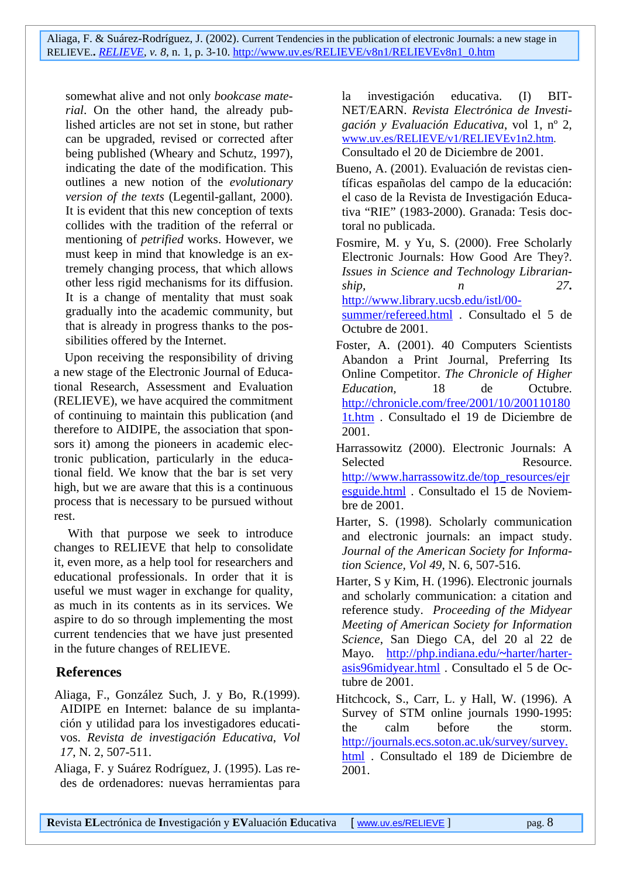somewhat alive and not only *bookcase material*. On the other hand, the already published articles are not set in stone, but rather can be upgraded, revised or corrected after being published (Wheary and Schutz, 1997), indicating the date of the modification. This outlines a new notion of the *evolutionary version of the texts* (Legentil-gallant, 2000). It is evident that this new conception of texts collides with the tradition of the referral or mentioning of *petrified* works. However, we must keep in mind that knowledge is an extremely changing process, that which allows other less rigid mechanisms for its diffusion. It is a change of mentality that must soak gradually into the academic community, but that is already in progress thanks to the possibilities offered by the Internet.

Upon receiving the responsibility of driving a new stage of the Electronic Journal of Educational Research, Assessment and Evaluation (RELIEVE), we have acquired the commitment of continuing to maintain this publication (and therefore to AIDIPE, the association that sponsors it) among the pioneers in academic electronic publication, particularly in the educational field. We know that the bar is set very high, but we are aware that this is a continuous process that is necessary to be pursued without rest.

 With that purpose we seek to introduce changes to RELIEVE that help to consolidate it, even more, as a help tool for researchers and educational professionals. In order that it is useful we must wager in exchange for quality, as much in its contents as in its services. We aspire to do so through implementing the most current tendencies that we have just presented in the future changes of RELIEVE.

#### **References**

- Aliaga, F., González Such, J. y Bo, R.(1999). AIDIPE en Internet: balance de su implantación y utilidad para los investigadores educativos. *Revista de investigación Educativa*, *Vol 17*, N. 2, 507-511.
- Aliaga, F. y Suárez Rodríguez, J. (1995). Las redes de ordenadores: nuevas herramientas para

la investigación educativa. (I) BIT-NET/EARN. *Revista Electrónica de Investigación y Evaluación Educativa*, vol 1, nº 2, www.uv.es/RELIEVE/v1/RELIEVEv1n2.htm. Consultado el 20 de Diciembre de 2001.

Bueno, A. (2001). Evaluación de revistas cien-

- tíficas españolas del campo de la educación: el caso de la Revista de Investigación Educativa "RIE" (1983-2000). Granada: Tesis doctoral no publicada.
- Fosmire, M. y Yu, S. (2000). Free Scholarly Electronic Journals: How Good Are They?. *Issues in Science and Technology Librarianship, n 27***.**

http://www.library.ucsb.edu/istl/00 summer/refereed.html . Consultado el 5 de Octubre de 2001.

- Foster, A. (2001). 40 Computers Scientists Abandon a Print Journal, Preferring Its Online Competitor. *The Chronicle of Higher Education,* 18 de Octubre. http://chronicle.com/free/2001/10/200110180 1t.htm . Consultado el 19 de Diciembre de 2001.
- Harrassowitz (2000). Electronic Journals: A Selected Resource. http://www.harrassowitz.de/top\_resources/ejr esguide.html . Consultado el 15 de Noviembre de 2001.
- Harter, S. (1998). Scholarly communication and electronic journals: an impact study. *Journal of the American Society for Information Science, Vol 49*, N. 6, 507-516.
- Harter, S y Kim, H. (1996). Electronic journals and scholarly communication: a citation and reference study. *Proceeding of the Midyear Meeting of American Society for Information Science*, San Diego CA, del 20 al 22 de Mayo. http://php.indiana.edu/**~**harter/harterasis96midyear.html . Consultado el 5 de Octubre de 2001.
- Hitchcock, S., Carr, L. y Hall, W. (1996). A Survey of STM online journals 1990-1995: the calm before the storm. http://journals.ecs.soton.ac.uk/survey/survey. html . Consultado el 189 de Diciembre de 2001.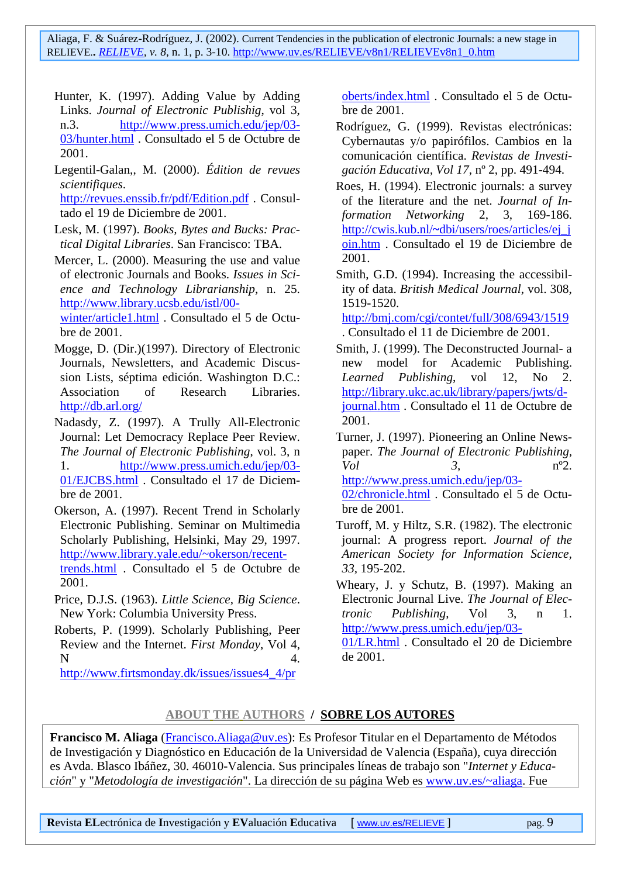- Hunter, K. (1997). Adding Value by Adding Links. *Journal of Electronic Publishig*, vol 3, n.3. http://www.press.umich.edu/jep/03- 03/hunter.html . Consultado el 5 de Octubre de 2001.
- Legentil-Galan,, M. (2000). *Édition de revues scientifiques*.

http://revues.enssib.fr/pdf/Edition.pdf . Consultado el 19 de Diciembre de 2001.

- Lesk, M. (1997). *Books, Bytes and Bucks: Practical Digital Libraries*. San Francisco: TBA.
- Mercer, L. (2000). Measuring the use and value of electronic Journals and Books. *Issues in Science and Technology Librarianship*, n. 25. http://www.library.ucsb.edu/istl/00 winter/article1.html . Consultado el 5 de Octu-

bre de 2001.

- Mogge, D. (Dir.)(1997). Directory of Electronic Journals, Newsletters, and Academic Discussion Lists, séptima edición. Washington D.C.: Association of Research Libraries. http://db.arl.org/
- Nadasdy, Z. (1997). A Trully All-Electronic Journal: Let Democracy Replace Peer Review. *The Journal of Electronic Publishing*, vol. 3, n 1. http://www.press.umich.edu/jep/03- 01/EJCBS.html . Consultado el 17 de Diciembre de 2001.

Okerson, A. (1997). Recent Trend in Scholarly Electronic Publishing. Seminar on Multimedia Scholarly Publishing, Helsinki, May 29, 1997. http://www.library.yale.edu/~okerson/recenttrends.html . Consultado el 5 de Octubre de 2001.

- Price, D.J.S. (1963). *Little Science, Big Science*. New York: Columbia University Press.
- Roberts, P. (1999). Scholarly Publishing, Peer Review and the Internet. *First Monday*, Vol 4,  $N \hspace{1.5cm} 4.$

http://www.firtsmonday.dk/issues/issues4\_4/pr

oberts/index.html . Consultado el 5 de Octubre de 2001.

- Rodríguez, G. (1999). Revistas electrónicas: Cybernautas y/o papirófilos. Cambios en la comunicación científica. *Revistas de Investigación Educativa, Vol 17*, nº 2, pp. 491-494.
- Roes, H. (1994). Electronic journals: a survey of the literature and the net. *Journal of Information Networking* 2, 3, 169-186. http://cwis.kub.nl/**~**dbi/users/roes/articles/ej\_j oin.htm . Consultado el 19 de Diciembre de 2001.
- Smith, G.D. (1994). Increasing the accessibility of data. *British Medical Journal*, vol. 308, 1519-1520.

http://bmj.com/cgi/contet/full/308/6943/1519 . Consultado el 11 de Diciembre de 2001.

- Smith, J. (1999). The Deconstructed Journal- a new model for Academic Publishing. *Learned Publishing*, vol 12, No 2. http://library.ukc.ac.uk/library/papers/jwts/djournal.htm . Consultado el 11 de Octubre de 2001.
- Turner, J. (1997). Pioneering an Online Newspaper. *The Journal of Electronic Publishing*, *Vol 3*, nº2. http://www.press.umich.edu/jep/03-

02/chronicle.html . Consultado el 5 de Octubre de 2001.

- Turoff, M. y Hiltz, S.R. (1982). The electronic journal: A progress report. *Journal of the American Society for Information Science, 33,* 195-202.
- Wheary, J. y Schutz, B. (1997). Making an Electronic Journal Live. *The Journal of Electronic Publishing*, Vol 3, n 1. http://www.press.umich.edu/jep/03-

01/LR.html . Consultado el 20 de Diciembre de 2001.

### **ABOUT THE AUTHORS / SOBRE LOS AUTORES**

**Francisco M. Aliaga** (Francisco.Aliaga@uv.es): Es Profesor Titular en el Departamento de Métodos de Investigación y Diagnóstico en Educación de la Universidad de Valencia (España), cuya dirección es Avda. Blasco Ibáñez, 30. 46010-Valencia. Sus principales líneas de trabajo son "*Internet y Educación*" y "*Metodología de investigación*". La dirección de su página Web es www.uv.es/~aliaga. Fue

**Revista ELectrónica de Investigación y EValuación Educativa [ www.uv.es/RELIEVE ] pag. 9**